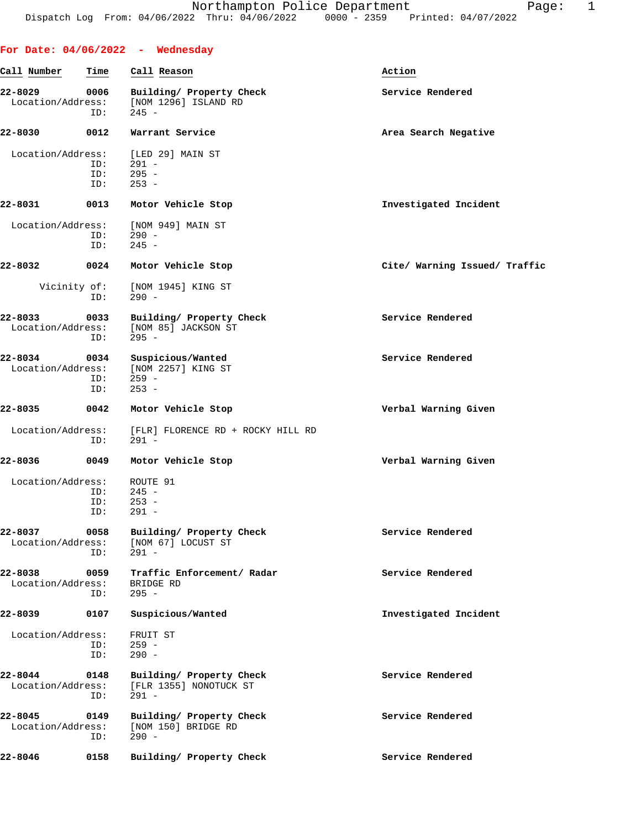|                              |                    | For Date: $04/06/2022 -$ Wednesday                                              |                               |
|------------------------------|--------------------|---------------------------------------------------------------------------------|-------------------------------|
| Call Number                  | Time               | Call Reason                                                                     | Action                        |
| 22-8029<br>Location/Address: | 0006<br>ID:        | Building/ Property Check<br>[NOM 1296] ISLAND RD<br>$245 -$                     | Service Rendered              |
| 22-8030                      | 0012               | Warrant Service                                                                 | Area Search Negative          |
| Location/Address:            | ID:<br>ID:<br>ID:  | [LED 29] MAIN ST<br>291 -<br>$295 -$<br>$253 -$                                 |                               |
| 22-8031                      | 0013               | Motor Vehicle Stop                                                              | Investigated Incident         |
| Location/Address:            | ID:<br>ID:         | [NOM 949] MAIN ST<br>$290 -$<br>$245 -$                                         |                               |
| 22-8032                      | 0024               | Motor Vehicle Stop                                                              | Cite/ Warning Issued/ Traffic |
| Vicinity of:                 | ID:                | [NOM 1945] KING ST<br>$290 -$                                                   |                               |
| 22-8033<br>Location/Address: | 0033<br>ID:        | Building/ Property Check<br>[NOM 85] JACKSON ST<br>$295 -$                      | Service Rendered              |
| 22-8034                      | 0034<br>ID:<br>ID: | Suspicious/Wanted<br>Location/Address: [NOM 2257] KING ST<br>$259 -$<br>$253 -$ | Service Rendered              |
| 22-8035                      | 0042               | Motor Vehicle Stop                                                              | Verbal Warning Given          |
| Location/Address:            | ID:                | [FLR] FLORENCE RD + ROCKY HILL RD<br>291 -                                      |                               |
| 22-8036                      | 0049               | Motor Vehicle Stop                                                              | Verbal Warning Given          |
| Location/Address:            | ID:<br>ID:<br>ID:  | ROUTE 91<br>$245 -$<br>$253 -$<br>$291 -$                                       |                               |
| 22-8037<br>Location/Address: | 0058<br>ID:        | Building/ Property Check<br>[NOM 67] LOCUST ST<br>$291 -$                       | Service Rendered              |
| 22-8038<br>Location/Address: | 0059<br>ID:        | Traffic Enforcement/ Radar<br>BRIDGE RD<br>$295 -$                              | Service Rendered              |
| 22-8039                      | 0107               | Suspicious/Wanted                                                               | Investigated Incident         |
| Location/Address:            | ID:<br>ID:         | FRUIT ST<br>$259 -$<br>$290 -$                                                  |                               |
| 22-8044<br>Location/Address: | 0148<br>ID:        | Building/ Property Check<br>[FLR 1355] NONOTUCK ST<br>$291 -$                   | Service Rendered              |
| 22-8045<br>Location/Address: | 0149<br>ID:        | Building/ Property Check<br>[NOM 150] BRIDGE RD<br>$290 -$                      | Service Rendered              |
| 22-8046                      | 0158               | Building/ Property Check                                                        | Service Rendered              |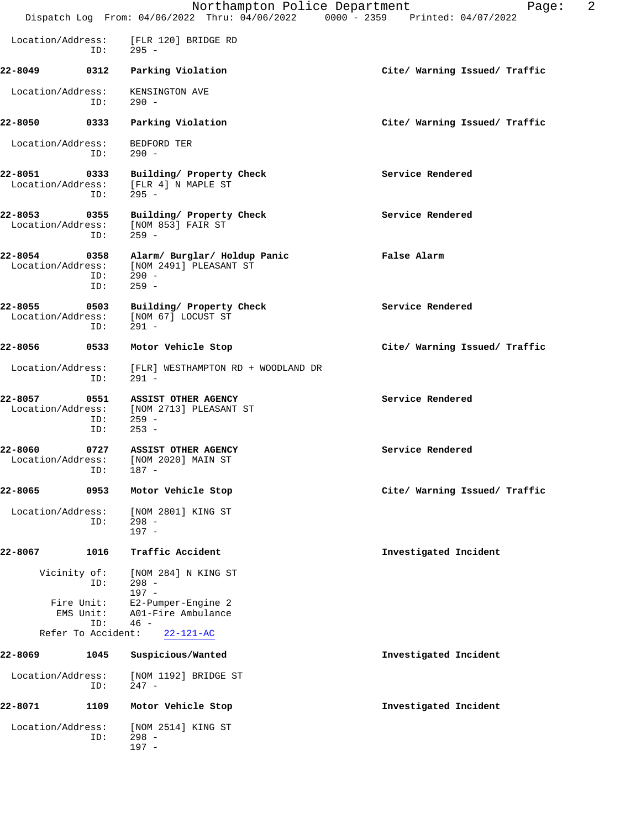|                              |                                                      | Northampton Police Department<br>Dispatch Log From: 04/06/2022 Thru: 04/06/2022 0000 - 2359 Printed: 04/07/2022 | 2<br>Page:                    |
|------------------------------|------------------------------------------------------|-----------------------------------------------------------------------------------------------------------------|-------------------------------|
| Location/Address:            | ID:                                                  | [FLR 120] BRIDGE RD<br>295 -                                                                                    |                               |
| 22-8049                      | 0312                                                 | Parking Violation                                                                                               | Cite/ Warning Issued/ Traffic |
| Location/Address:            | ID:                                                  | KENSINGTON AVE<br>$290 -$                                                                                       |                               |
| 22-8050                      | 0333                                                 | Parking Violation                                                                                               | Cite/ Warning Issued/ Traffic |
| Location/Address:            | ID:                                                  | BEDFORD TER<br>$290 -$                                                                                          |                               |
| 22-8051<br>Location/Address: | 0333<br>ID:                                          | Building/ Property Check<br>[FLR 4] N MAPLE ST<br>$295 -$                                                       | Service Rendered              |
| 22-8053<br>Location/Address: | 0355<br>ID:                                          | Building/ Property Check<br>[NOM 853] FAIR ST<br>$259 -$                                                        | Service Rendered              |
| 22-8054                      | 0358<br>ID:<br>ID:                                   | Alarm/ Burglar/ Holdup Panic<br>Location/Address: [NOM 2491] PLEASANT ST<br>$290 -$<br>$259 -$                  | False Alarm                   |
| 22-8055<br>Location/Address: | 0503<br>ID:                                          | Building/ Property Check<br>[NOM 67] LOCUST ST<br>$291 -$                                                       | Service Rendered              |
| 22-8056                      | 0533                                                 | Motor Vehicle Stop                                                                                              | Cite/ Warning Issued/ Traffic |
| Location/Address:            | ID:                                                  | [FLR] WESTHAMPTON RD + WOODLAND DR<br>$291 -$                                                                   |                               |
| 22-8057<br>Location/Address: | 0551<br>ID:<br>ID:                                   | ASSIST OTHER AGENCY<br>[NOM 2713] PLEASANT ST<br>$259 -$<br>$253 -$                                             | Service Rendered              |
| 22-8060<br>Location/Address: | 0727<br>ID: 187 -                                    | <b>ASSIST OTHER AGENCY</b><br>[NOM 2020] MAIN ST                                                                | Service Rendered              |
| 22-8065                      | 0953                                                 | Motor Vehicle Stop                                                                                              | Cite/ Warning Issued/ Traffic |
| Location/Address:            | ID:                                                  | [NOM 2801] KING ST<br>$298 -$<br>$197 -$                                                                        |                               |
| 22-8067                      | 1016                                                 | Traffic Accident                                                                                                | Investigated Incident         |
|                              | Vicinity of:<br>ID:                                  | [NOM 284] N KING ST<br>$298 -$<br>$197 -$                                                                       |                               |
|                              | Fire Unit:<br>EMS Unit:<br>ID:<br>Refer To Accident: | E2-Pumper-Engine 2<br>A01-Fire Ambulance<br>$46 -$<br>$22 - 121 - AC$                                           |                               |
| 22-8069                      | 1045                                                 | Suspicious/Wanted                                                                                               | Investigated Incident         |
| Location/Address:            | ID:                                                  | [NOM 1192] BRIDGE ST<br>$247 -$                                                                                 |                               |
| 22-8071                      | 1109                                                 | Motor Vehicle Stop                                                                                              | Investigated Incident         |
| Location/Address:            | ID:                                                  | [NOM 2514] KING ST<br>$298 -$<br>$197 -$                                                                        |                               |
|                              |                                                      |                                                                                                                 |                               |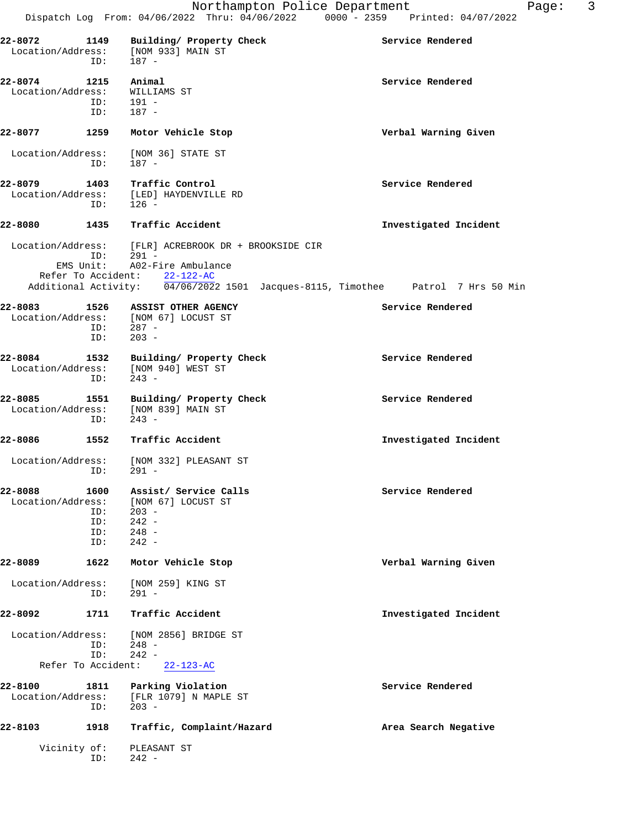**22-8072 1149 Building/ Property Check Service Rendered** Location/Address: [NOM 933] MAIN ST ID: 187 - **22-8074 1215 Animal Service Rendered** Location/Address: WILLIAMS ST ID: 191 - ID: 187 - **22-8077 1259 Motor Vehicle Stop Verbal Warning Given** Location/Address: [NOM 36] STATE ST ID: 187 - **22-8079 1403 Traffic Control Service Rendered** Location/Address: [LED] HAYDENVILLE RD<br>ID: 126 - ID: 126 - **22-8080 1435 Traffic Accident Investigated Incident** Location/Address: [FLR] ACREBROOK DR + BROOKSIDE CIR ID: 291 - EMS Unit: A02-Fire Ambulance Refer To Accident: 22-122-AC Additional Activity: 04/06/2022 1501 Jacques-8115, Timothee Patrol 7 Hrs 50 Min **22-8083 1526 ASSIST OTHER AGENCY Service Rendered** Location/Address: [NOM 67] LOCUST ST ID: 287 -<br>ID: 203 - $203 -$ **22-8084 1532 Building/ Property Check Service Rendered** Location/Address: [NOM 940] WEST ST ID: 243 - **22-8085 1551 Building/ Property Check Service Rendered** Location/Address: [NOM 839] MAIN ST<br>ID: 243 - ID: 243 - **22-8086 1552 Traffic Accident Investigated Incident** Location/Address: [NOM 332] PLEASANT ST ID: 291 - **22-8088 1600 Assist/ Service Calls Service Rendered** Location/Address: [NOM 67] LOCUST ST ID: 203 - ID: 242 - ID: 248 -<br>ID: 242 - $242 -$ **22-8089 1622 Motor Vehicle Stop Verbal Warning Given** Location/Address: [NOM 259] KING ST ID: 291 - **22-8092 1711 Traffic Accident Investigated Incident** Location/Address: [NOM 2856] BRIDGE ST ID: 248 -<br>ID: 242 - $242 -$  Refer To Accident: 22-123-AC **22-8100 1811 Parking Violation Service Rendered** Location/Address: [FLR 1079] N MAPLE ST ess: [FLR 1079] N MAPLE ST<br>ID: 203 - ID: 203 - **22-8103 1918 Traffic, Complaint/Hazard Area Search Negative** Vicinity of: PLEASANT ST<br>ID: 242 - $242 -$